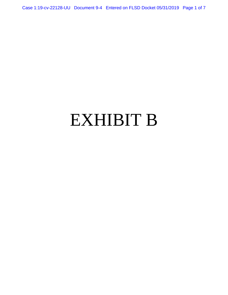Case 1:19-cv-22128-UU Document 9-4 Entered on FLSD Docket 05/31/2019 Page 1 of 7

# EXHIBIT B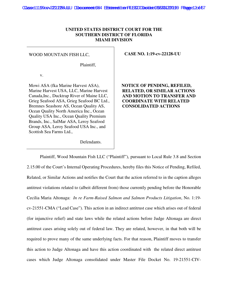## **UNITED STATES DISTRICT COURT FOR THE SOUTHERN DISTRICT OF FLORIDA MIAMI DIVISION**

#### WOOD MOUNTAIN FISH LLC,

Plaintiff,

v.

Mowi ASA (fka Marine Harvest ASA), Marine Harvest USA, LLC, Marine Harvest Canada,Inc., Ducktrap River of Maine LLC, Grieg Seafood ASA, Grieg Seafood BC Ltd., Bremnes Seashore AS, Ocean Quality AS, Ocean Quality North America Inc., Ocean Quality USA Inc., Ocean Quality Premium Brands, Inc., SalMar ASA, Leroy Seafood Group ASA, Leroy Seafood USA Inc., and Scottish Sea Farms Ltd.,

### **CASE NO. 1:19-cv-22128-UU**

 **NOTICE OF PENDING, REFILED, RELATED, OR SIMILAR ACTIONS AND MOTION TO TRANSFER AND COORDINATE WITH RELATED CONSOLIDATED ACTIONS**

Defendants.

 Plaintiff, Wood Mountain Fish LLC ("Plaintiff"), pursuant to Local Rule 3.8 and Section 2.15.00 of the Court's Internal Operating Procedures, hereby files this Notice of Pending, Refiled, Related, or Similar Actions and notifies the Court that the action referred to in the caption alleges antitrust violations related to (albeit different from) those currently pending before the Honorable Cecilia Maria Altonaga: *In re Farm-Raised Salmon and Salmon Products Litigation*, No. 1:19 cv-21551-CMA ("Lead Case"). This action in an indirect antitrust case which arises out of federal (for injunctive relief) and state laws while the related actions before Judge Altonaga are direct antitrust cases arising solely out of federal law. They are related, however, in that both will be required to prove many of the same underlying facts. For that reason, Plaintiff moves to transfer this action to Judge Altonaga and have this action coordinated with the related direct antitrust cases which Judge Altonaga consolidated under Master File Docket No. 19-21551-CIV-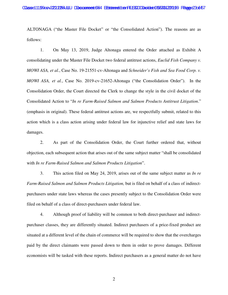ALTONAGA ("the Master File Docket" or "the Consolidated Action"). The reasons are as follows:

1. On May 13, 2019, Judge Altonaga entered the Order attached as Exhibit A consolidating under the Master File Docket two federal antitrust actions, *Euclid Fish Company v. MOWI ASA, et al.*, Case No. 19-21551-cv-Altonaga and *Schneider's Fish and Sea Food Corp. v. MOWI ASA, et al.*, Case No. 2019-cv-21652-Altonaga ("the Consolidation Order"). In the Consolidation Order, the Court directed the Clerk to change the style in the civil docket of the Consolidated Action to "*In re Farm-Raised Salmon and Salmon Products Antitrust Litigation*." (emphasis in original). These federal antitrust actions are, we respectfully submit, related to this action which is a class action arising under federal law for injunctive relief and state laws for damages.

2. As part of the Consolidation Order, the Court further ordered that, without objection, each subsequent action that arises out of the same subject matter "shall be consolidated with *In re Farm-Raised Salmon and Salmon Products Litigation*".

3. This action filed on May 24, 2019, arises out of the same subject matter as *In re Farm-Raised Salmon and Salmon Products Litigation,* but is filed on behalf of a class of indirectpurchasers under state laws whereas the cases presently subject to the Consolidation Order were filed on behalf of a class of direct-purchasers under federal law.

4. Although proof of liability will be common to both direct-purchaser and indirectpurchaser classes, they are differently situated. Indirect purchasers of a price-fixed product are situated at a different level of the chain of commerce will be required to show that the overcharges paid by the direct claimants were passed down to them in order to prove damages. Different economists will be tasked with these reports. Indirect purchasers as a general matter do not have

2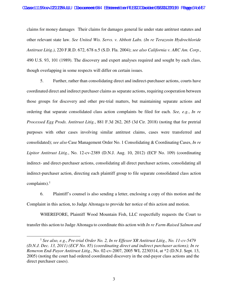claims for money damages Their claims for damages general lie under state antitrust statutes and other relevant state law. *See United Wis. Servs. v. Abbott Labs. (In re Terazosin Hydrochloride Antitrust Litig.)*, 220 F.R.D. 672, 678 n.5 (S.D. Fla. 2004); *see also California v. ARC Am. Corp.*, 490 U.S. 93, 101 (1989). The discovery and expert analyses required and sought by each class, though overlapping in some respects will differ on certain issues.

5. Further, rather than consolidating direct and indirect-purchaser actions, courts have coordinated direct and indirect purchaser claims as separate actions, requiring cooperation between those groups for discovery and other pre-trial matters, but maintaining separate actions and ordering that separate consolidated class action complaints be filed for each. *See, e.g.*, *In re Processed Egg Prods. Antitrust Litig.*, 881 F.3d 262, 265 (3d Cir. 2018) (noting that for pretrial purposes with other cases involving similar antitrust claims, cases were transferred and consolidated); *see also* Case Management Order No. 1 Consolidating & Coordinating Cases, *In re Lipitor Antitrust Litig.*, No. 12-cv-2389 (D.N.J. Aug. 10, 2012) (ECF No. 109) (coordinating indirect- and direct-purchaser actions, consolidating all direct purchaser actions, consolidating all indirect-purchaser action, directing each plaintiff group to file separate consolidated class action complaints). $<sup>1</sup>$ </sup>

6. Plaintiff's counsel is also sending a letter, enclosing a copy of this motion and the Complaint in this action, to Judge Altonaga to provide her notice of this action and motion.

WHEREFORE, Plaintiff Wood Mountain Fish, LLC respectfully requests the Court to transfer this action to Judge Altonaga to coordinate this action with *In re Farm-Raised Salmon and* 

<sup>-</sup><sup>1</sup> See also, e.g., Pre-trial Order No. 2, In re Effexor XR Antitrust Litig., No. 11-cv-5479 *(D.N.J. Dec. 13, 2011) (ECF No. 85) (coordinating direct and indirect purchaser actions); In re Remeron End-Payor Antitrust Litig.*, No. 02-cv-2007, 2005 WL 2230314, at \*2 (D.N.J. Sept. 13, 2005) (noting the court had ordered coordinated discovery in the end-payor class actions and the direct purchaser cases).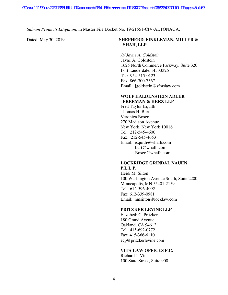*Salmon Products Litigation*, in Master File Docket No. 19-21551-CIV-ALTONAGA.

# Dated: May 30, 2019 **SHEPHERD, FINKLEMAN, MILLER & SHAH, LLP**

*/s/ Jayne A. Goldstein* 

Jayne A. Goldstein 1625 North Commerce Parkway, Suite 320 Fort Lauderdale, FL 33326 Tel: 954-515-0123 Fax: 866-300-7367 Email: jgoldstein@sfmslaw.com

#### **WOLF HALDENSTEIN ADLER FREEMAN & HERZ LLP**

Fred Taylor Isquith Thomas H. Burt Veronica Bosco 270 Madison Avenue New York, New York 10016 Tel: 212-545-4600 Fax: 212-545-4653 Email: isquith@whafh.com burt@whafh.com Bosco@whafh.com

## **LOCKRIDGE GRINDAL NAUEN P.L.L.P.**

Heidi M. Silton 100 Washington Avenue South, Suite 2200 Minneapolis, MN 55401-2159 Tel: 612-596-4092 Fax: 612-339-0981 Email: hmsilton@locklaw.com

## **PRITZKER LEVINE LLP**

Elizabeth C. Pritzker 180 Grand Avenue Oakland, CA 94612 Tel: 415-692-0772 Fax: 415-366-6110 ecp@pritzkerlevine.com

# **VITA LAW OFFICES P.C.**

Richard J. Vita 100 State Street, Suite 900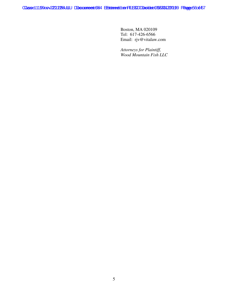Casse11199eov2221288-UUU DDocument 1984 Eintered oon FELSSD Docket 05/381220199 Fagge 5 6 of 167

Boston, MA 020109 Tel: 617-426-6566 Email: rjv@vitalaw.com

*Attorneys for Plaintiff, Wood Mountain Fish LLC*